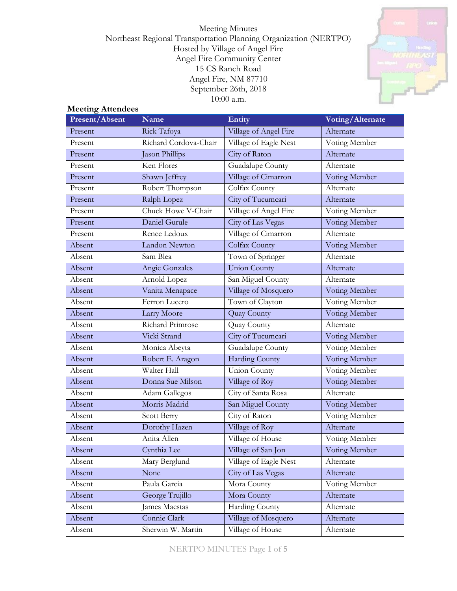Meeting Minutes Northeast Regional Transportation Planning Organization (NERTPO) Hosted by Village of Angel Fire Angel Fire Community Center 15 CS Ranch Road Angel Fire, NM 87710 September 26th, 2018 10:00 a.m.



## **Meeting Attendees**

| Present/Absent | <b>Name</b>           | Entity                | Voting/Alternate |
|----------------|-----------------------|-----------------------|------------------|
| Present        | Rick Tafoya           | Village of Angel Fire | Alternate        |
| Present        | Richard Cordova-Chair | Village of Eagle Nest | Voting Member    |
| Present        | Jason Phillips        | City of Raton         | Alternate        |
| Present        | Ken Flores            | Guadalupe County      | Alternate        |
| Present        | Shawn Jeffrey         | Village of Cimarron   | Voting Member    |
| Present        | Robert Thompson       | Colfax County         | Alternate        |
| Present        | Ralph Lopez           | City of Tucumcari     | Alternate        |
| Present        | Chuck Howe V-Chair    | Village of Angel Fire | Voting Member    |
| Present        | Daniel Gurule         | City of Las Vegas     | Voting Member    |
| Present        | Renee Ledoux          | Village of Cimarron   | Alternate        |
| Absent         | Landon Newton         | Colfax County         | Voting Member    |
| Absent         | Sam Blea              | Town of Springer      | Alternate        |
| Absent         | Angie Gonzales        | <b>Union County</b>   | Alternate        |
| Absent         | Arnold Lopez          | San Miguel County     | Alternate        |
| Absent         | Vanita Menapace       | Village of Mosquero   | Voting Member    |
| Absent         | Ferron Lucero         | Town of Clayton       | Voting Member    |
| Absent         | Larry Moore           | <b>Quay County</b>    | Voting Member    |
| Absent         | Richard Primrose      | Quay County           | Alternate        |
| Absent         | Vicki Strand          | City of Tucumcari     | Voting Member    |
| Absent         | Monica Abeyta         | Guadalupe County      | Voting Member    |
| Absent         | Robert E. Aragon      | Harding County        | Voting Member    |
| Absent         | Walter Hall           | <b>Union County</b>   | Voting Member    |
| Absent         | Donna Sue Milson      | Village of Roy        | Voting Member    |
| Absent         | Adam Gallegos         | City of Santa Rosa    | Alternate        |
| Absent         | Morris Madrid         | San Miguel County     | Voting Member    |
| Absent         | Scott Berry           | City of Raton         | Voting Member    |
| Absent         | Dorothy Hazen         | Village of Roy        | Alternate        |
| Absent         | Anita Allen           | Village of House      | Voting Member    |
| Absent         | Cynthia Lee           | Village of San Jon    | Voting Member    |
| Absent         | Mary Berglund         | Village of Eagle Nest | Alternate        |
| Absent         | None                  | City of Las Vegas     | Alternate        |
| Absent         | Paula Garcia          | Mora County           | Voting Member    |
| Absent         | George Trujillo       | Mora County           | Alternate        |
| Absent         | James Maestas         | Harding County        | Alternate        |
| Absent         | Connie Clark          | Village of Mosquero   | Alternate        |
| Absent         | Sherwin W. Martin     | Village of House      | Alternate        |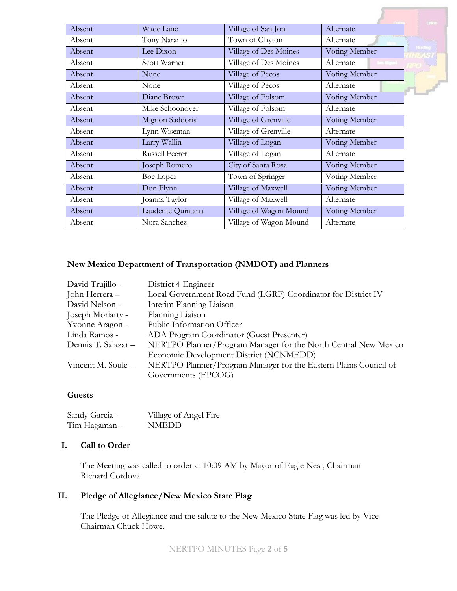|        |                   |                        |               | <b>United</b>  |
|--------|-------------------|------------------------|---------------|----------------|
| Absent | Wade Lane         | Village of San Jon     | Alternate     |                |
| Absent | Tony Naranjo      | Town of Clayton        | Alternate     |                |
| Absent | Lee Dixon         | Village of Des Moines  | Voting Member | <b>Handbug</b> |
| Absent | Scott Warner      | Village of Des Moines  | Alternate     |                |
| Absent | None              | Village of Pecos       | Voting Member |                |
| Absent | None              | Village of Pecos       | Alternate     |                |
| Absent | Diane Brown       | Village of Folsom      | Voting Member |                |
| Absent | Mike Schoonover   | Village of Folsom      | Alternate     |                |
| Absent | Mignon Saddoris   | Village of Grenville   | Voting Member |                |
| Absent | Lynn Wiseman      | Village of Grenville   | Alternate     |                |
| Absent | Larry Wallin      | Village of Logan       | Voting Member |                |
| Absent | Russell Feerer    | Village of Logan       | Alternate     |                |
| Absent | Joseph Romero     | City of Santa Rosa     | Voting Member |                |
| Absent | Boe Lopez         | Town of Springer       | Voting Member |                |
| Absent | Don Flynn         | Village of Maxwell     | Voting Member |                |
| Absent | Joanna Taylor     | Village of Maxwell     | Alternate     |                |
| Absent | Laudente Quintana | Village of Wagon Mound | Voting Member |                |
| Absent | Nora Sanchez      | Village of Wagon Mound | Alternate     |                |

#### **New Mexico Department of Transportation (NMDOT) and Planners**

| David Trujillo -    | District 4 Engineer                                              |
|---------------------|------------------------------------------------------------------|
| John Herrera -      | Local Government Road Fund (LGRF) Coordinator for District IV    |
| David Nelson -      | Interim Planning Liaison                                         |
| Joseph Moriarty -   | Planning Liaison                                                 |
| Yvonne Aragon -     | Public Information Officer                                       |
| Linda Ramos -       | ADA Program Coordinator (Guest Presenter)                        |
| Dennis T. Salazar - | NERTPO Planner/Program Manager for the North Central New Mexico  |
|                     | Economic Development District (NCNMEDD)                          |
| Vincent M. Soule –  | NERTPO Planner/Program Manager for the Eastern Plains Council of |
|                     | Governments (EPCOG)                                              |

### **Guests**

| Sandy Garcia - | Village of Angel Fire |
|----------------|-----------------------|
| Tim Hagaman -  | <b>NMEDD</b>          |

## **I. Call to Order**

The Meeting was called to order at 10:09 AM by Mayor of Eagle Nest, Chairman Richard Cordova.

### **II. Pledge of Allegiance/New Mexico State Flag**

The Pledge of Allegiance and the salute to the New Mexico State Flag was led by Vice Chairman Chuck Howe.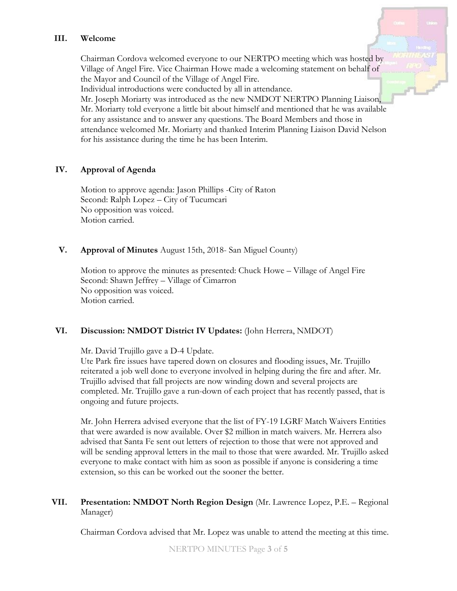### **III. Welcome**

Chairman Cordova welcomed everyone to our NERTPO meeting which was hosted by Village of Angel Fire. Vice Chairman Howe made a welcoming statement on behalf of the Mayor and Council of the Village of Angel Fire.

Individual introductions were conducted by all in attendance.

Mr. Joseph Moriarty was introduced as the new NMDOT NERTPO Planning Liaison, Mr. Moriarty told everyone a little bit about himself and mentioned that he was available for any assistance and to answer any questions. The Board Members and those in attendance welcomed Mr. Moriarty and thanked Interim Planning Liaison David Nelson for his assistance during the time he has been Interim.

### **IV. Approval of Agenda**

Motion to approve agenda: Jason Phillips -City of Raton Second: Ralph Lopez – City of Tucumcari No opposition was voiced. Motion carried.

### **V. Approval of Minutes** August 15th, 2018- San Miguel County)

Motion to approve the minutes as presented: Chuck Howe – Village of Angel Fire Second: Shawn Jeffrey – Village of Cimarron No opposition was voiced. Motion carried.

### **VI. Discussion: NMDOT District IV Updates:** (John Herrera, NMDOT)

Mr. David Trujillo gave a D-4 Update.

Ute Park fire issues have tapered down on closures and flooding issues, Mr. Trujillo reiterated a job well done to everyone involved in helping during the fire and after. Mr. Trujillo advised that fall projects are now winding down and several projects are completed. Mr. Trujillo gave a run-down of each project that has recently passed, that is ongoing and future projects.

Mr. John Herrera advised everyone that the list of FY-19 LGRF Match Waivers Entities that were awarded is now available. Over \$2 million in match waivers. Mr. Herrera also advised that Santa Fe sent out letters of rejection to those that were not approved and will be sending approval letters in the mail to those that were awarded. Mr. Trujillo asked everyone to make contact with him as soon as possible if anyone is considering a time extension, so this can be worked out the sooner the better.

## **VII. Presentation: NMDOT North Region Design** (Mr. Lawrence Lopez, P.E. – Regional Manager)

Chairman Cordova advised that Mr. Lopez was unable to attend the meeting at this time.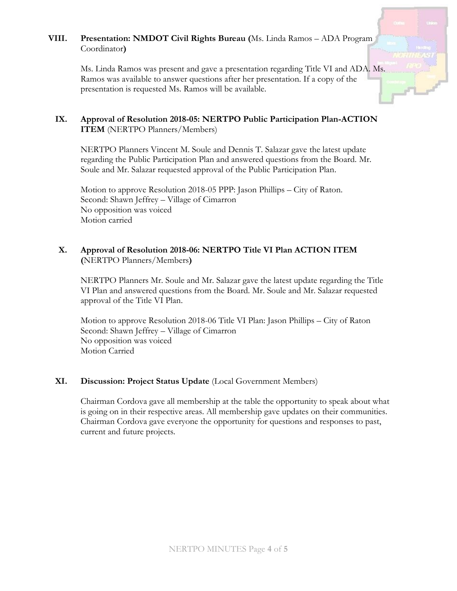# **VIII. Presentation: NMDOT Civil Rights Bureau (**Ms. Linda Ramos – ADA Program Coordinator**)**

Ms. Linda Ramos was present and gave a presentation regarding Title VI and ADA. Ms. Ramos was available to answer questions after her presentation. If a copy of the presentation is requested Ms. Ramos will be available.

# **IX. Approval of Resolution 2018-05: NERTPO Public Participation Plan-ACTION ITEM** (NERTPO Planners/Members)

NERTPO Planners Vincent M. Soule and Dennis T. Salazar gave the latest update regarding the Public Participation Plan and answered questions from the Board. Mr. Soule and Mr. Salazar requested approval of the Public Participation Plan.

Motion to approve Resolution 2018-05 PPP: Jason Phillips – City of Raton. Second: Shawn Jeffrey – Village of Cimarron No opposition was voiced Motion carried

# **X. Approval of Resolution 2018-06: NERTPO Title VI Plan ACTION ITEM (**NERTPO Planners/Members**)**

NERTPO Planners Mr. Soule and Mr. Salazar gave the latest update regarding the Title VI Plan and answered questions from the Board. Mr. Soule and Mr. Salazar requested approval of the Title VI Plan.

Motion to approve Resolution 2018-06 Title VI Plan: Jason Phillips – City of Raton Second: Shawn Jeffrey – Village of Cimarron No opposition was voiced Motion Carried

### **XI. Discussion: Project Status Update** (Local Government Members)

Chairman Cordova gave all membership at the table the opportunity to speak about what is going on in their respective areas. All membership gave updates on their communities. Chairman Cordova gave everyone the opportunity for questions and responses to past, current and future projects.